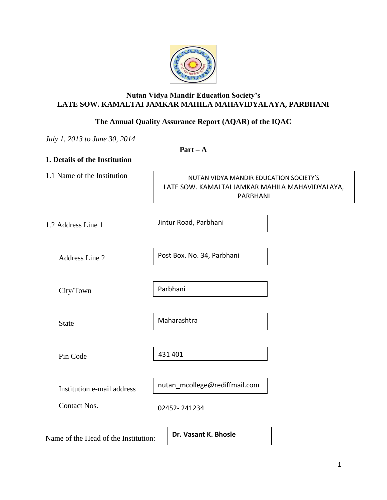

# **Nutan Vidya Mandir Education Society's LATE SOW. KAMALTAI JAMKAR MAHILA MAHAVIDYALAYA, PARBHANI**

# **The Annual Quality Assurance Report (AQAR) of the IQAC**

*July 1, 2013 to June 30, 2014*

**Part – A**

# **1. Details of the Institution** 1.1 Name of the Institution 1.2 Address Line 1 Address Line 2 City/Town State Pin Code Institution e-mail address Contact Nos. NUTAN VIDYA MANDIR EDUCATION SOCIETY'S LATE SOW. KAMALTAI JAMKAR MAHILA MAHAVIDYALAYA, PARBHANI Jintur Road, Parbhani Post Box. No. 34, Parbhani Parbhani Maharashtra 431 401 nutan\_mcollege@rediffmail.com 02452- 241234

Name of the Head of the Institution:

**Dr. Vasant K. Bhosle**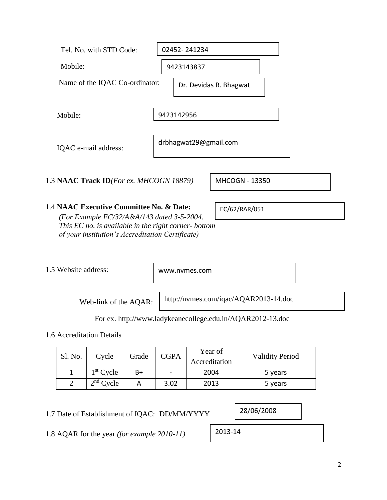| Tel. No. with STD Code:                                                                        | 02452-241234           |
|------------------------------------------------------------------------------------------------|------------------------|
| Mobile:                                                                                        | 9423143837             |
| Name of the IQAC Co-ordinator:                                                                 | Dr. Devidas R. Bhagwat |
| Mobile:                                                                                        | 9423142956             |
| IQAC e-mail address:                                                                           | drbhagwat29@gmail.com  |
| 1.3 NAAC Track ID(For ex. MHCOGN 18879)                                                        | MHCOGN - 13350         |
| 1.4 NAAC Executive Committee No. & Date:<br>$(For\: Example E C/32/4.4.4/143, data 3.5, 2004)$ | EC/62/RAR/051          |

*(For Example EC/32/A&A/143 dated 3-5-2004. This EC no. is available in the right corner- bottom of your institution's Accreditation Certificate)*

1.5 Website address:

www.nvmes.com

Web-link of the AQAR:

http://nvmes.com/iqac/AQAR2013-14.doc

For ex. http://www.ladykeanecollege.edu.in/AQAR2012-13.doc

1.6 Accreditation Details

| Sl. No. | Cycle       | Grade | <b>CGPA</b>              | Year of<br>Accreditation | <b>Validity Period</b> |
|---------|-------------|-------|--------------------------|--------------------------|------------------------|
|         | $1st$ Cycle | B+    | $\overline{\phantom{0}}$ | 2004                     | 5 years                |
|         | $2nd$ Cycle |       | 3.02                     | 2013                     | 5 years                |

1.7 Date of Establishment of IQAC: DD/MM/YYYY

1.8 AQAR for the year *(for example 2010-11)*

28/06/2008

2013-14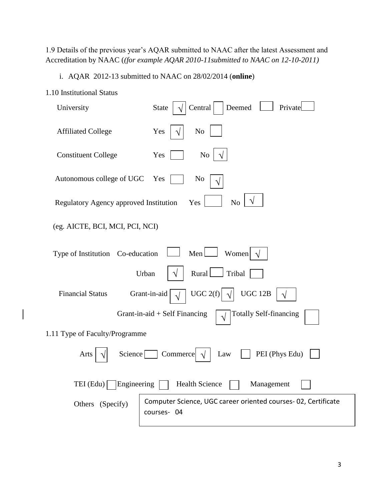1.9 Details of the previous year's AQAR submitted to NAAC after the latest Assessment and Accreditation by NAAC (*(for example AQAR 2010-11submitted to NAAC on 12-10-2011)*

i. AQAR 2012-13 submitted to NAAC on 28/02/2014 (**online**)

- 1.10 Institutional Status University State  $\left|\sqrt{\left|\right|}$  Central Deemed  $\left|\sqrt{\right|}$  Private Affiliated College  $Yes \mid \sqrt{\mid}$  No √ √
- Constituent College Yes | No Autonomous college of UGC Yes | No Regulatory Agency approved Institution  $Yes$   $\begin{array}{|c|c|c|c|c|} \hline \end{array}$  No (eg. AICTE, BCI, MCI, PCI, NCI) Type of Institution Co-education  $\Box$  Men Urban  $\sqrt{\vert \text{Rural} \vert}$  Tribal Financial Status Grant-in-aid  $\vert \sqrt{\vert} \cdot \text{UGC 2(f)}$ Grant-in-aid + Self Financing  $\boxed{\sqrt{\ }}$  Totally Self-financing 1.11 Type of Faculty/Programme Arts  $\left|\sqrt{\right|}$  Science Commerce  $\left|\sqrt{\right|}$  Law  $\left|\sqrt{\right|}$  PEI (Phys Edu) √ √ √ Women  $\sqrt{}$ √ **UGC 12B** √ √ √

TEI (Edu) Engineering Health Science Management Others (Specify) Computer Science, UGC career oriented courses- 02, Certificate courses- 04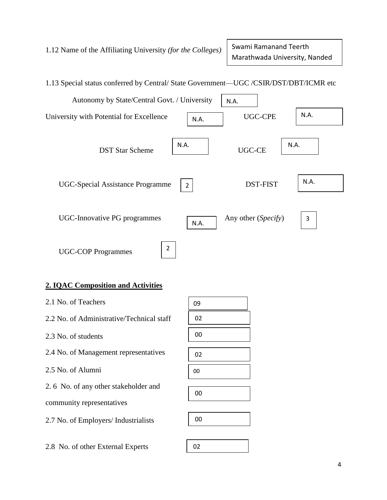1.12 Name of the Affiliating University *(for the Colleges)*

Swami Ramanand Teerth Marathwada University, Nanded



# **2. IQAC Composition and Activities**

| 2.1 No. of Teachers                       | 09 |
|-------------------------------------------|----|
| 2.2 No. of Administrative/Technical staff | 02 |
| 2.3 No. of students                       | 00 |
| 2.4 No. of Management representatives     | 02 |
| 2.5 No. of Alumni                         | 00 |
| 2.6 No. of any other stakeholder and      | 00 |
| community representatives                 |    |
| 2.7 No. of Employers/ Industrialists      | 00 |
|                                           |    |
| 2.8 No. of other External Experts         | 02 |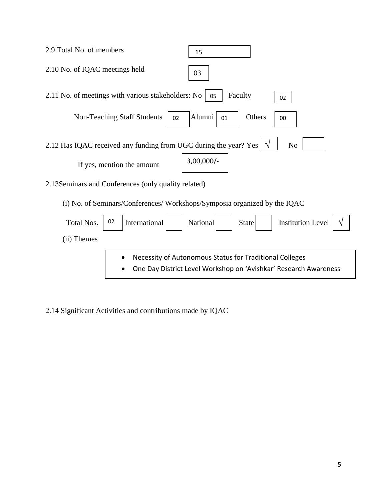| 2.9 Total No. of members<br>15                                                                                              |
|-----------------------------------------------------------------------------------------------------------------------------|
| 2.10 No. of IQAC meetings held<br>03                                                                                        |
| 2.11 No. of meetings with various stakeholders: No<br>Faculty<br>05<br>02                                                   |
| <b>Non-Teaching Staff Students</b><br>Alumni<br>Others<br>02<br>01<br>00                                                    |
| 2.12 Has IQAC received any funding from UGC during the year? Yes<br>N <sub>o</sub>                                          |
| $3,00,000/-$<br>If yes, mention the amount                                                                                  |
| 2.13 Seminars and Conferences (only quality related)                                                                        |
| (i) No. of Seminars/Conferences/ Workshops/Symposia organized by the IQAC                                                   |
| 02<br>International<br>Total Nos.<br>National<br><b>Institution Level</b><br><b>State</b>                                   |
| (ii) Themes                                                                                                                 |
| Necessity of Autonomous Status for Traditional Colleges<br>One Day District Level Workshop on 'Avishkar' Research Awareness |

2.14 Significant Activities and contributions made by IQAC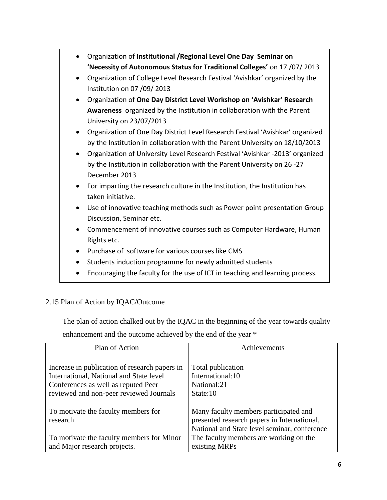Organization of **Institutional /Regional Level One Day Seminar on 'Necessity of Autonomous Status for Traditional Colleges'** on 17 /07/ 2013 Organization of College Level Research Festival 'Avishkar' organized by the Institution on 07 /09/ 2013 Organization of **One Day District Level Workshop on 'Avishkar' Research Awareness** organized by the Institution in collaboration with the Parent University on 23/07/2013 Organization of One Day District Level Research Festival 'Avishkar' organized by the Institution in collaboration with the Parent University on 18/10/2013 Organization of University Level Research Festival 'Avishkar -2013' organized by the Institution in collaboration with the Parent University on 26 -27 December 2013 For imparting the research culture in the Institution, the Institution has taken initiative. Use of innovative teaching methods such as Power point presentation Group Discussion, Seminar etc. Commencement of innovative courses such as Computer Hardware, Human Rights etc. Purchase of software for various courses like CMS Students induction programme for newly admitted students Encouraging the faculty for the use of ICT in teaching and learning process.

# 2.15 Plan of Action by IQAC/Outcome

The plan of action chalked out by the IQAC in the beginning of the year towards quality

enhancement and the outcome achieved by the end of the year \*

| Plan of Action                                | Achievements                                 |
|-----------------------------------------------|----------------------------------------------|
|                                               |                                              |
| Increase in publication of research papers in | Total publication                            |
| International, National and State level       | International:10                             |
| Conferences as well as reputed Peer           | National:21                                  |
| reviewed and non-peer reviewed Journals       | State:10                                     |
|                                               |                                              |
| To motivate the faculty members for           | Many faculty members participated and        |
| research                                      | presented research papers in International,  |
|                                               | National and State level seminar, conference |
| To motivate the faculty members for Minor     | The faculty members are working on the       |
| and Major research projects.                  | existing MRPs                                |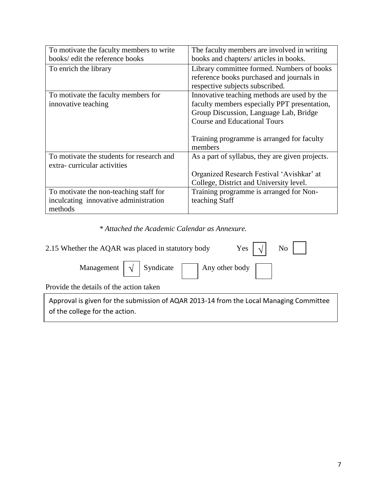| To motivate the faculty members to write<br>books/ edit the reference books | The faculty members are involved in writing     |
|-----------------------------------------------------------------------------|-------------------------------------------------|
|                                                                             | books and chapters/ articles in books.          |
| To enrich the library                                                       | Library committee formed. Numbers of books      |
|                                                                             | reference books purchased and journals in       |
|                                                                             | respective subjects subscribed.                 |
| To motivate the faculty members for                                         | Innovative teaching methods are used by the     |
| innovative teaching                                                         | faculty members especially PPT presentation,    |
|                                                                             | Group Discussion, Language Lab, Bridge          |
|                                                                             | <b>Course and Educational Tours</b>             |
|                                                                             |                                                 |
|                                                                             | Training programme is arranged for faculty      |
|                                                                             | members                                         |
| To motivate the students for research and                                   | As a part of syllabus, they are given projects. |
| extra-curricular activities                                                 |                                                 |
|                                                                             | Organized Research Festival 'Avishkar' at       |
|                                                                             | College, District and University level.         |
| To motivate the non-teaching staff for                                      | Training programme is arranged for Non-         |
| inculcating innovative administration                                       | teaching Staff                                  |
| methods                                                                     |                                                 |

*\* Attached the Academic Calendar as Annexure.*

| Yes $\vert \sqrt{\vert}$ No $\vert$  <br>2.15 Whether the AQAR was placed in statutory body                              |
|--------------------------------------------------------------------------------------------------------------------------|
| Management $\sqrt{\sqrt{S}}$ Syndicate $\sqrt{\sqrt{S}}$ Any other body                                                  |
| Provide the details of the action taken                                                                                  |
| Approval is given for the submission of AQAR 2013-14 from the Local Managing Committee<br>of the college for the action. |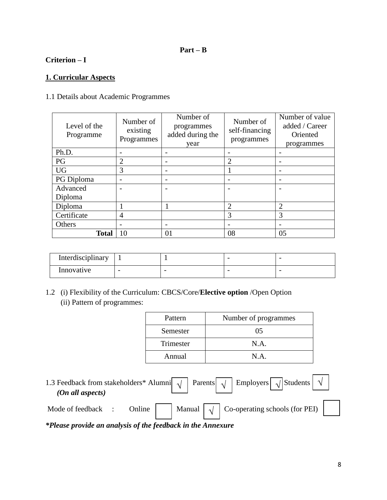# **Part – B**

# **Criterion – I**

# **1. Curricular Aspects**

# 1.1 Details about Academic Programmes

| Level of the<br>Programme | Number of<br>existing<br>Programmes | Number of<br>programmes<br>added during the<br>year | Number of<br>self-financing<br>programmes | Number of value<br>added / Career<br>Oriented<br>programmes |  |
|---------------------------|-------------------------------------|-----------------------------------------------------|-------------------------------------------|-------------------------------------------------------------|--|
| Ph.D.                     |                                     |                                                     |                                           |                                                             |  |
| PG                        | $\overline{2}$                      |                                                     | $\overline{c}$                            |                                                             |  |
| <b>UG</b>                 | 3                                   |                                                     |                                           | -                                                           |  |
| PG Diploma                |                                     |                                                     |                                           |                                                             |  |
| Advanced                  |                                     |                                                     |                                           |                                                             |  |
| Diploma                   |                                     |                                                     |                                           |                                                             |  |
| Diploma                   |                                     |                                                     | $\overline{2}$                            | $\overline{2}$                                              |  |
| Certificate               | $\overline{A}$                      |                                                     | 3                                         | 3                                                           |  |
| Others                    |                                     |                                                     |                                           |                                                             |  |
| <b>Total</b>              | 10                                  | 01                                                  | 08                                        | 05                                                          |  |

| Interdisciplinary |   |  | $\overline{\phantom{0}}$ |
|-------------------|---|--|--------------------------|
| Innovative        | - |  |                          |

1.2 (i) Flexibility of the Curriculum: CBCS/Core/**Elective option** /Open Option (ii) Pattern of programmes:

| Pattern   | Number of programmes |
|-----------|----------------------|
| Semester  | 05                   |
| Trimester | N.A.                 |
| Annual    | N.A.                 |

1.3 Feedback from stakeholders\* Alumni $\boxed{\sqrt{ }}$  Parents  $\boxed{\sqrt{ }}$  Employers  $\boxed{\sqrt{ }}$  Students  *(On all aspects)* Mode of feedback : Online Manual  $\sqrt{\phantom{a}}$  Co-operating schools (for PEI)  $\sqrt{\sqrt{2}}$  Parents  $\sqrt{2}$  Employers  $\sqrt{2}$  Students  $\sqrt{2}$  $\sqrt{ }$ 

*\*Please provide an analysis of the feedback in the Annexure*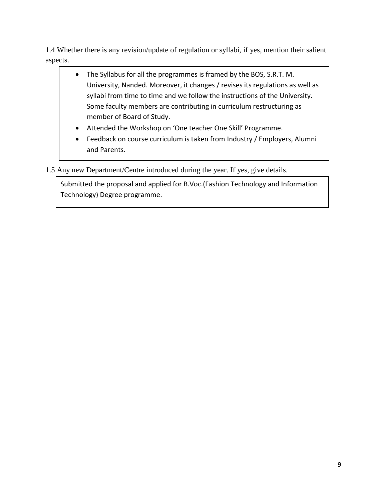1.4 Whether there is any revision/update of regulation or syllabi, if yes, mention their salient aspects.

- The Syllabus for all the programmes is framed by the BOS, S.R.T. M. University, Nanded. Moreover, it changes / revises its regulations as well as syllabi from time to time and we follow the instructions of the University. Some faculty members are contributing in curriculum restructuring as member of Board of Study.
- Attended the Workshop on 'One teacher One Skill' Programme.
- Feedback on course curriculum is taken from Industry / Employers, Alumni and Parents.

1.5 Any new Department/Centre introduced during the year. If yes, give details.

Submitted the proposal and applied for B.Voc.(Fashion Technology and Information Technology) Degree programme.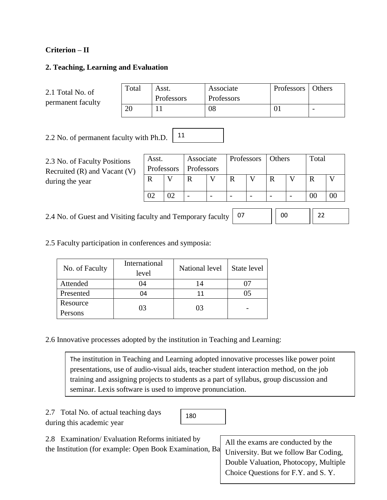# **Criterion – II**

# **2. Teaching, Learning and Evaluation**

2.1 Total No. of permanent faculty

| Total | Asst.      | Associate  | Professors   Others |  |
|-------|------------|------------|---------------------|--|
|       | Professors | Professors |                     |  |
|       |            | 08         |                     |  |

2.2 No. of permanent faculty with Ph.D. 11

2.3 No. of Faculty Positions Recruited (R) and Vacant (V) during the year

| Associate<br>Asst. |    | Professors        |  | Others |  | Total |  |  |  |
|--------------------|----|-------------------|--|--------|--|-------|--|--|--|
| Professors         |    | <b>Professors</b> |  |        |  |       |  |  |  |
|                    |    | R                 |  |        |  | R     |  |  |  |
|                    |    |                   |  |        |  |       |  |  |  |
|                    | າາ |                   |  |        |  |       |  |  |  |

2.4 No. of Guest and Visiting faculty and Temporary faculty

| 1 |  | - |  |  |  |
|---|--|---|--|--|--|
|---|--|---|--|--|--|

Choice Questions for F.Y. and S. Y.

2.5 Faculty participation in conferences and symposia:

| No. of Faculty | International<br>level | National level | State level |
|----------------|------------------------|----------------|-------------|
| Attended       | 04                     | 14             |             |
| Presented      | 04                     | 11             | 15          |
| Resource       | 03                     | 03             |             |
| Persons        |                        |                |             |

2.6 Innovative processes adopted by the institution in Teaching and Learning:

The institution in Teaching and Learning adopted innovative processes like power point presentations, use of audio-visual aids, teacher student interaction method, on the job training and assigning projects to students as a part of syllabus, group discussion and seminar. Lexis software is used to improve pronunciation.

2.7 Total No. of actual teaching days during this academic year

180

10 Double Valuation, Photocopy, Multiple 2.8 Examination/ Evaluation Reforms initiated by the Institution (for example: Open Book Examination, Ba All the exams are conducted by the University. But we follow Bar Coding,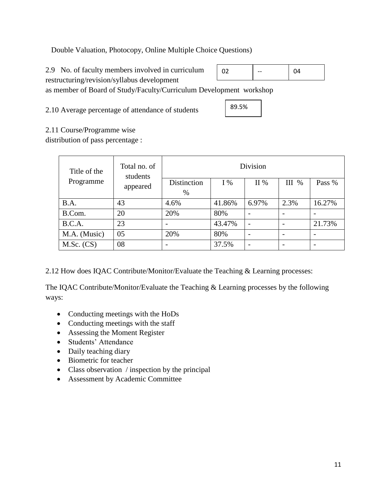Double Valuation, Photocopy, Online Multiple Choice Questions)

2.9 No. of faculty members involved in curriculum restructuring/revision/syllabus development

| n2 | -- | 04 |
|----|----|----|
|    |    |    |

as member of Board of Study/Faculty/Curriculum Development workshop

2.10 Average percentage of attendance of students

$$
\pmb{89.5\%}
$$

2.11 Course/Programme wise

distribution of pass percentage :

| Title of the | Total no. of<br>students | <b>Division</b>     |        |       |       |        |  |
|--------------|--------------------------|---------------------|--------|-------|-------|--------|--|
| Programme    | appeared                 | Distinction<br>$\%$ | $I\%$  | II%   | III % | Pass % |  |
| B.A.         | 43                       | 4.6%                | 41.86% | 6.97% | 2.3%  | 16.27% |  |
| B.Com.       | 20                       | 20%                 | 80%    |       |       |        |  |
| B.C.A.       | 23                       |                     | 43.47% |       |       | 21.73% |  |
| M.A. (Music) | 05                       | 20%                 | 80%    |       |       |        |  |
| $M.Sc.$ (CS) | 08                       |                     | 37.5%  |       |       |        |  |

2.12 How does IQAC Contribute/Monitor/Evaluate the Teaching & Learning processes:

The IQAC Contribute/Monitor/Evaluate the Teaching & Learning processes by the following ways:

- Conducting meetings with the HoDs
- Conducting meetings with the staff
- Assessing the Moment Register
- Students' Attendance
- Daily teaching diary
- Biometric for teacher
- Class observation / inspection by the principal
- Assessment by Academic Committee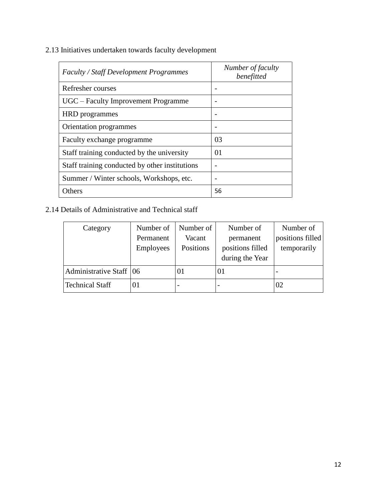2.13 Initiatives undertaken towards faculty development

| <b>Faculty / Staff Development Programmes</b>  | Number of faculty<br>benefitted |
|------------------------------------------------|---------------------------------|
| Refresher courses                              |                                 |
| UGC – Faculty Improvement Programme            |                                 |
| <b>HRD</b> programmes                          |                                 |
| Orientation programmes                         |                                 |
| Faculty exchange programme                     | 03                              |
| Staff training conducted by the university     | 01                              |
| Staff training conducted by other institutions |                                 |
| Summer / Winter schools, Workshops, etc.       |                                 |
| Others                                         | 56                              |

# 2.14 Details of Administrative and Technical staff

| Category                  | Number of        | Number of | Number of        | Number of        |
|---------------------------|------------------|-----------|------------------|------------------|
|                           | Permanent        | Vacant    | permanent        | positions filled |
|                           | <b>Employees</b> | Positions | positions filled | temporarily      |
|                           |                  |           | during the Year  |                  |
| Administrative Staff   06 |                  | 01        | O I              | -                |
| <b>Technical Staff</b>    | $_{01}$          |           |                  | 02               |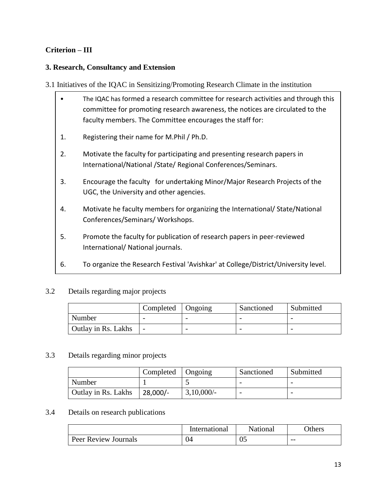# **Criterion – III**

# **3. Research, Consultancy and Extension**

- 3.1 Initiatives of the IQAC in Sensitizing/Promoting Research Climate in the institution
	- The IQAC has formed a research committee for research activities and through this committee for promoting research awareness, the notices are circulated to the faculty members. The Committee encourages the staff for:
	- 1. Registering their name for M.Phil / Ph.D.
	- 2. Motivate the faculty for participating and presenting research papers in International/National /State/ Regional Conferences/Seminars.
	- 3. Encourage the faculty for undertaking Minor/Major Research Projects of the UGC, the University and other agencies.
	- 4. Motivate he faculty members for organizing the International/ State/National Conferences/Seminars/ Workshops.
	- 5. Promote the faculty for publication of research papers in peer-reviewed International/ National journals.
	- 6. To organize the Research Festival 'Avishkar' at College/District/University level.

#### 3.2 Details regarding major projects

|                     | Completed   Ongoing |   | Sanctioned               | Submitted |
|---------------------|---------------------|---|--------------------------|-----------|
| Number              |                     | - | $\overline{\phantom{0}}$ |           |
| Outlay in Rs. Lakhs |                     |   |                          |           |

#### 3.3 Details regarding minor projects

|                     | Completed  | Ongoing       | Sanctioned | Submitted |
|---------------------|------------|---------------|------------|-----------|
| Number              |            |               |            |           |
| Outlay in Rs. Lakhs | $28,000/-$ | $3,10,000/$ - |            |           |

#### 3.4 Details on research publications

|                             | International | <b>National</b> | <b>Others</b> |
|-----------------------------|---------------|-----------------|---------------|
| <b>Peer Review Journals</b> | 04            | 05              | $- -$         |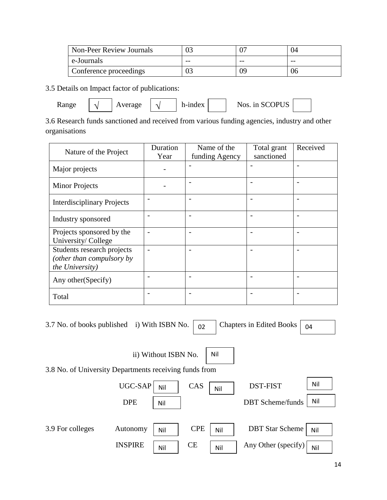| Non-Peer Review Journals | U.    |       | 04    |
|--------------------------|-------|-------|-------|
| e-Journals               | $- -$ | $- -$ | $- -$ |
| Conference proceedings   |       |       | 06    |

3.5 Details on Impact factor of publications:

Average

Range  $\sqrt{\phantom{a}}$  Average  $\sqrt{\phantom{a}}$  h-index Nos. in SCOPUS

3.6 Research funds sanctioned and received from various funding agencies, industry and other organisations

| Nature of the Project                                                      | Duration<br>Year | Name of the<br>funding Agency | Total grant<br>sanctioned | Received                 |
|----------------------------------------------------------------------------|------------------|-------------------------------|---------------------------|--------------------------|
| Major projects                                                             |                  |                               |                           |                          |
| <b>Minor Projects</b>                                                      |                  | $\overline{\phantom{a}}$      | -                         | $\overline{\phantom{0}}$ |
| <b>Interdisciplinary Projects</b>                                          |                  |                               | -                         |                          |
| Industry sponsored                                                         |                  | $\overline{\phantom{0}}$      | $\overline{a}$            |                          |
| Projects sponsored by the<br>University/College                            |                  | $\overline{\phantom{0}}$      | $\overline{\phantom{0}}$  | $\overline{\phantom{0}}$ |
| Students research projects<br>(other than compulsory by<br>the University) |                  | $\overline{\phantom{0}}$      | $\overline{\phantom{0}}$  |                          |
| Any other (Specify)                                                        |                  | $\overline{\phantom{a}}$      | $\overline{\phantom{0}}$  |                          |
| Total                                                                      |                  |                               |                           |                          |

| 3.7 No. of books published i) With ISBN No.            |                |                      | 02         |     | <b>Chapters in Edited Books</b> | 04  |
|--------------------------------------------------------|----------------|----------------------|------------|-----|---------------------------------|-----|
| 3.8 No. of University Departments receiving funds from |                | ii) Without ISBN No. | Nil        |     |                                 |     |
|                                                        | <b>UGC-SAP</b> | Nil                  | CAS        | Nil | <b>DST-FIST</b>                 | Nil |
|                                                        | <b>DPE</b>     | Nil                  |            |     | <b>DBT</b> Scheme/funds         | Nil |
| 3.9 For colleges                                       | Autonomy       | Nil                  | <b>CPE</b> | Nil | <b>DBT</b> Star Scheme          | Nil |
|                                                        | <b>INSPIRE</b> | CE<br>Nil            |            | Nil | Any Other (specify)             | Nil |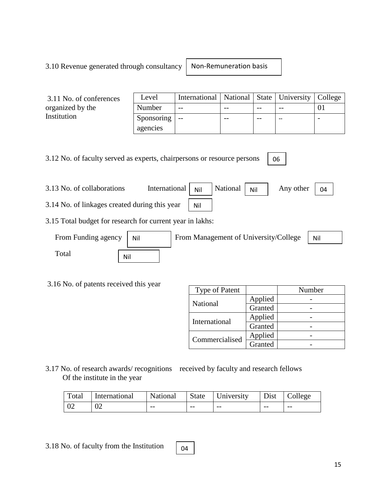# 3.10 Revenue generated through consultancy

Non-Remuneration basis

| 3.11 No. of conferences | Level      | International   National   State   University   College |       |       |  |
|-------------------------|------------|---------------------------------------------------------|-------|-------|--|
| organized by the        | Number     | $- -$                                                   | $- -$ | $- -$ |  |
| Institution             | Sponsoring | $- -$                                                   | $- -$ | $-$   |  |
|                         | agencies   |                                                         |       |       |  |

3.12 No. of faculty served as experts, chairpersons or resource persons

3.13 No. of collaborations International National Any other 3.14 No. of linkages created during this year Any other  $\vert$  04 Nil Nil

3.15 Total budget for research for current year in lakhs:

| From Funding agency | Nil | From Management of University/College | Nil |
|---------------------|-----|---------------------------------------|-----|
| Total               | Nil |                                       |     |

3.16 No. of patents received this year

| Type of Patent |         | Number |
|----------------|---------|--------|
|                | Applied |        |
| National       | Granted |        |
| International  | Applied |        |
|                | Granted |        |
| Commercialised | Applied |        |
|                | Granted |        |

06

3.17 No. of research awards/ recognitions received by faculty and research fellows Of the institute in the year

| Total | International | National |       | State University |      | Dist College |
|-------|---------------|----------|-------|------------------|------|--------------|
| l 02  | 02            | $- -$    | $- -$ | $- -$            | $ -$ | $- -$        |

04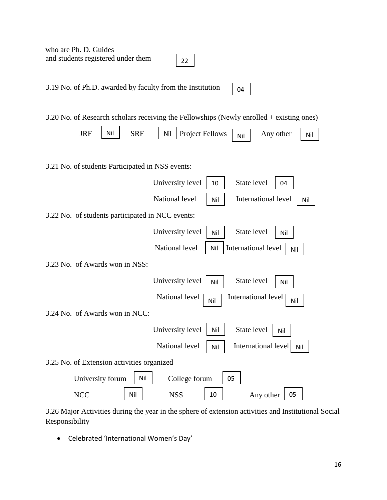who are Ph. D. Guides and students registered under them 3.19 No. of Ph.D. awarded by faculty from the Institution 3.20 No. of Research scholars receiving the Fellowships (Newly enrolled + existing ones)  $JRF$  Nil SRF Nil Project Fellows  $N_{\text{N}}$  Any other Nil 3.21 No. of students Participated in NSS events: University level  $\vert$  10 National level | Nil | International level | Nil 3.22 No. of students participated in NCC events: University level  $\vert$  Nil National level  $\begin{array}{|c|c|c|} \hline \end{array}$  Nil  $\begin{array}{|c|c|c|} \hline \end{array}$  International level  $\begin{array}{|c|c|c|c|} \hline \end{array}$ 3.23 No. of Awards won in NSS: University level  $\vert$  Nil National level  $\boxed{\overrightarrow{Nil}}$  International level  $\boxed{\overrightarrow{Nil}}$ 3.24 No. of Awards won in NCC: University level  $\vert$  Nil National level | Nil | International level | Nil 3.25 No. of Extension activities organized University forum  $\vert$  Nil NCC | Nil | NSS | 10 | Any other | 05 22 04 Nil State level | 04 State level Nil State level  $\vert$  Nil State level | Nil College forum  $\vert$  05

3.26 Major Activities during the year in the sphere of extension activities and Institutional Social Responsibility

Celebrated 'International Women's Day'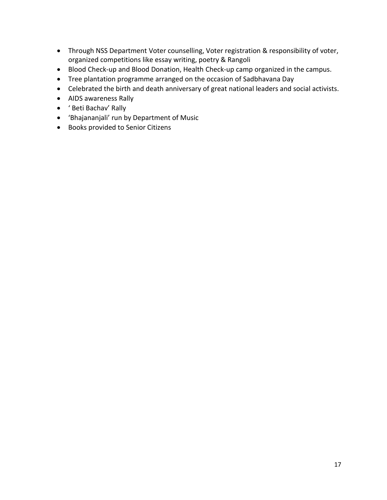- Through NSS Department Voter counselling, Voter registration & responsibility of voter, organized competitions like essay writing, poetry & Rangoli
- Blood Check-up and Blood Donation, Health Check-up camp organized in the campus.
- Tree plantation programme arranged on the occasion of Sadbhavana Day
- Celebrated the birth and death anniversary of great national leaders and social activists.
- AIDS awareness Rally
- ' Beti Bachav' Rally
- 'Bhajananjali' run by Department of Music
- Books provided to Senior Citizens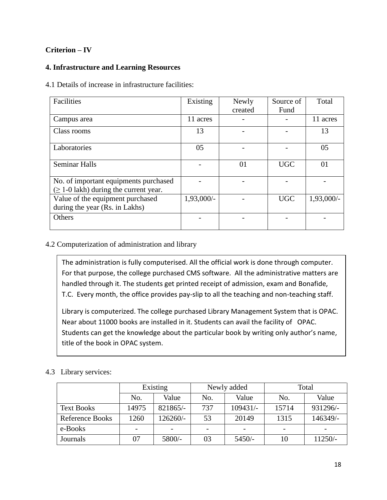# **Criterion – IV**

# **4. Infrastructure and Learning Resources**

4.1 Details of increase in infrastructure facilities:

| Facilities                                                                           | Existing   | Newly   | Source of  | Total      |
|--------------------------------------------------------------------------------------|------------|---------|------------|------------|
|                                                                                      |            | created | Fund       |            |
| Campus area                                                                          | 11 acres   |         |            | 11 acres   |
| Class rooms                                                                          | 13         |         |            | 13         |
| Laboratories                                                                         | 05         |         |            | 05         |
| <b>Seminar Halls</b>                                                                 |            | 01      | <b>UGC</b> | 01         |
| No. of important equipments purchased<br>$(\geq 1$ -0 lakh) during the current year. |            |         |            |            |
| Value of the equipment purchased<br>during the year (Rs. in Lakhs)                   | 1,93,000/- |         | <b>UGC</b> | 1,93,000/- |
| Others                                                                               |            |         |            |            |

# 4.2 Computerization of administration and library

The administration is fully computerised. All the official work is done through computer. For that purpose, the college purchased CMS software. All the administrative matters are handled through it. The students get printed receipt of admission, exam and Bonafide, T.C. Every month, the office provides pay-slip to all the teaching and non-teaching staff.

Library is computerized. The college purchased Library Management System that is OPAC. Near about 11000 books are installed in it. Students can avail the facility of OPAC. Students can get the knowledge about the particular book by writing only author's name, title of the book in OPAC system.

# 4.3 Library services:

|                        | Existing                     |          |                | Newly added | Total |           |  |
|------------------------|------------------------------|----------|----------------|-------------|-------|-----------|--|
|                        | No.                          | Value    | No.            | Value       | No.   | Value     |  |
| <b>Text Books</b>      | 14975                        | 821865/- | 737            | $109431/-$  | 15714 | 931296/-  |  |
| <b>Reference Books</b> | 1260                         | 126260/- | 53             | 20149       | 1315  | 146349/-  |  |
| e-Books                | $\qquad \qquad \blacksquare$ |          |                |             |       |           |  |
| Journals               | 07                           | 5800/-   | 03<br>$5450/-$ |             | 10    | $11250/-$ |  |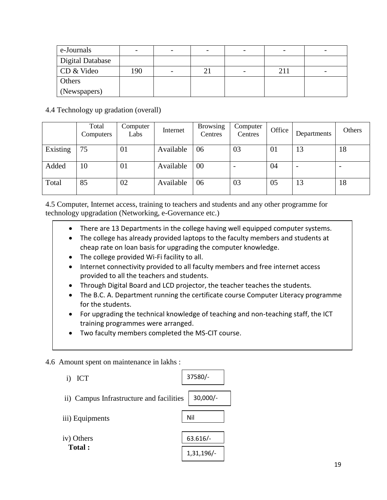| e-Journals       |     |  | $\overline{\phantom{0}}$ |     |                          |
|------------------|-----|--|--------------------------|-----|--------------------------|
| Digital Database |     |  |                          |     |                          |
| CD & Video       | 190 |  | $\overline{\phantom{a}}$ | 211 | $\overline{\phantom{0}}$ |
| Others           |     |  |                          |     |                          |
| (Newspapers)     |     |  |                          |     |                          |

4.4 Technology up gradation (overall)

|          | Total<br>Computers | Computer<br>Labs | Internet  | <b>Browsing</b><br>Centres | Computer<br>Centres | Office | Departments | Others |
|----------|--------------------|------------------|-----------|----------------------------|---------------------|--------|-------------|--------|
| Existing | 75                 | 01               | Available | 06                         | 03                  | 01     | 13          | 18     |
| Added    | 10                 | 01               | Available | 00                         |                     | 04     |             |        |
| Total    | 85                 | 02               | Available | 06                         | 03                  | 05     | 13          | 18     |

4.5 Computer, Internet access, training to teachers and students and any other programme for technology upgradation (Networking, e-Governance etc.)

- There are 13 Departments in the college having well equipped computer systems.
- The college has already provided laptops to the faculty members and students at cheap rate on loan basis for upgrading the computer knowledge.
- The college provided Wi-Fi facility to all.
- Internet connectivity provided to all faculty members and free internet access provided to all the teachers and students.
- Through Digital Board and LCD projector, the teacher teaches the students.
- The B.C. A. Department running the certificate course Computer Literacy programme for the students.
- For upgrading the technical knowledge of teaching and non-teaching staff, the ICT training programmes were arranged.
- Two faculty members completed the MS-CIT course.

4.6 Amount spent on maintenance in lakhs :

| <b>ICT</b>                               | 37580/-      |
|------------------------------------------|--------------|
| ii) Campus Infrastructure and facilities | $30,000/-$   |
| iii) Equipments                          | Nil          |
| iv) Others                               | $63.616/-$   |
| Total:                                   | $1,31,196/-$ |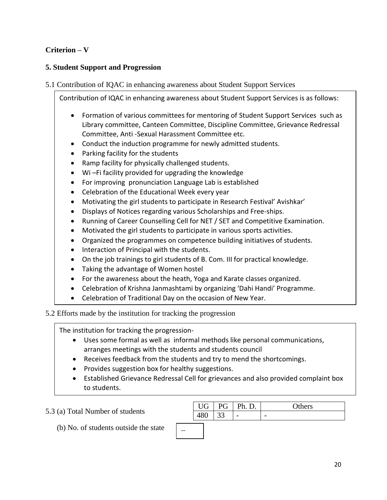# **Criterion – V**

# **5. Student Support and Progression**

# 5.1 Contribution of IQAC in enhancing awareness about Student Support Services

Contribution of IQAC in enhancing awareness about Student Support Services is as follows:

- Formation of various committees for mentoring of Student Support Services such as Library committee, Canteen Committee, Discipline Committee, Grievance Redressal Committee, Anti -Sexual Harassment Committee etc.
- Conduct the induction programme for newly admitted students.
- Parking facility for the students
- Ramp facility for physically challenged students.
- Wi –Fi facility provided for upgrading the knowledge
- For improving pronunciation Language Lab is established
- Celebration of the Educational Week every year
- Motivating the girl students to participate in Research Festival' Avishkar'
- Displays of Notices regarding various Scholarships and Free-ships.
- Running of Career Counselling Cell for NET / SET and Competitive Examination.
- Motivated the girl students to participate in various sports activities.
- Organized the programmes on competence building initiatives of students.
- Interaction of Principal with the students.
- On the job trainings to girl students of B. Com. III for practical knowledge.
- Taking the advantage of Women hostel
- For the awareness about the heath, Yoga and Karate classes organized.
- Celebration of Krishna Janmashtami by organizing 'Dahi Handi' Programme.
- Celebration of Traditional Day on the occasion of New Year.

#### 5.2 Efforts made by the institution for tracking the progression Ξ

The institution for tracking the progression-

- Uses some formal as well as informal methods like personal communications, arranges meetings with the students and students council
- Receives feedback from the students and try to mend the shortcomings.
- Provides suggestion box for healthy suggestions.
- Established Grievance Redressal Cell for grievances and also provided complaint box to students.

5.3 (a) Total Number of students

(b) No. of students outside the state

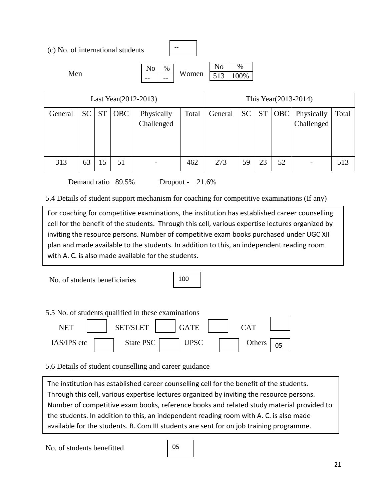| (c) No. of international students |      | --    |     |     |
|-----------------------------------|------|-------|-----|-----|
|                                   | $\%$ |       | No  | %   |
| Men                               |      | Women | F12 | )0% |
|                                   |      |       |     |     |

| Last Year (2012-2013) |           |           |            |                          |       |         |           |           | This Year (2013-2014) |                          |       |
|-----------------------|-----------|-----------|------------|--------------------------|-------|---------|-----------|-----------|-----------------------|--------------------------|-------|
| General               | <b>SC</b> | <b>ST</b> | <b>OBC</b> | Physically<br>Challenged | Total | General | <b>SC</b> | <b>ST</b> | <b>OBC</b>            | Physically<br>Challenged | Total |
| 313                   | 63        | 15        | 51         |                          | 462   | 273     | 59        | 23        | 52                    | -                        | 513   |

Demand ratio 89.5% Dropout - 21.6%

5.4 Details of student support mechanism for coaching for competitive examinations (If any)

For coaching for competitive examinations, the institution has established career counselling cell for the benefit of the students. Through this cell, various expertise lectures organized by inviting the resource persons. Number of competitive exam books purchased under UGC XII plan and made available to the students. In addition to this, an independent reading room with A. C. is also made available for the students.

No. of students beneficiaries

100

|             | 5.5 No. of students qualified in these examinations |             |            |  |
|-------------|-----------------------------------------------------|-------------|------------|--|
| <b>NET</b>  | <b>SET/SLET</b>                                     | <b>GATE</b> | <b>CAT</b> |  |
| IAS/IPS etc | State PSC                                           | UPSC        | Others     |  |

5.6 Details of student counselling and career guidance

The institution has established career counselling cell for the benefit of the students. Through this cell, various expertise lectures organized by inviting the resource persons. Number of competitive exam books, reference books and related study material provided to the students. In addition to this, an independent reading room with A. C. is also made available for the students. B. Com III students are sent for on job training programme.

No. of students benefitted

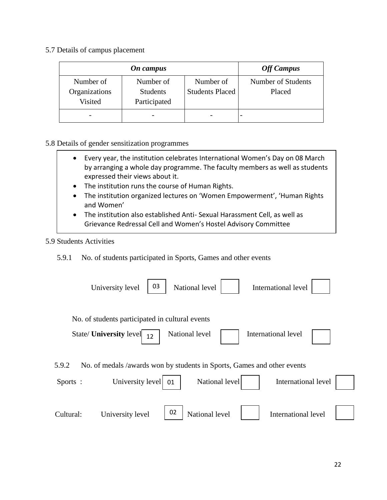5.7 Details of campus placement

|               | On campus       |                        | <b>Off Campus</b>  |
|---------------|-----------------|------------------------|--------------------|
| Number of     | Number of       | Number of              | Number of Students |
| Organizations | <b>Students</b> | <b>Students Placed</b> | Placed             |
| Visited       | Participated    |                        |                    |
|               |                 |                        |                    |

#### 5.8 Details of gender sensitization programmes

- Every year, the institution celebrates International Women's Day on 08 March by arranging a whole day programme. The faculty members as well as students expressed their views about it.
- The institution runs the course of Human Rights.
- The institution organized lectures on 'Women Empowerment', 'Human Rights and Women'
- The institution also established Anti- Sexual Harassment Cell, as well as Grievance Redressal Cell and Women's Hostel Advisory Committee

# 5.9 Students Activities

5.9.1 No. of students participated in Sports, Games and other events

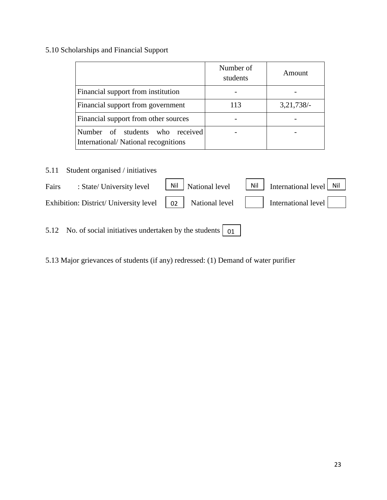# 5.10 Scholarships and Financial Support

|                                                                        | Number of<br>students | Amount       |
|------------------------------------------------------------------------|-----------------------|--------------|
| Financial support from institution                                     |                       |              |
| Financial support from government                                      | 113                   | $3,21,738/-$ |
| Financial support from other sources                                   |                       |              |
| Number of students who received<br>International/National recognitions |                       |              |

5.11 Student organised / initiatives

| Fairs | : State/ University level                                                                                                                            | $\vert$ Nil $\vert$ National level | $\vert$ Nil $\vert$ International level Nil $\vert$ |
|-------|------------------------------------------------------------------------------------------------------------------------------------------------------|------------------------------------|-----------------------------------------------------|
|       | Exhibition: District/University level $\begin{vmatrix} 0 & 2 \end{vmatrix}$ National level $\begin{vmatrix} 1 & 1 \end{vmatrix}$ International level |                                    |                                                     |

5.12 No. of social initiatives undertaken by the students  $\vert$  01

5.13 Major grievances of students (if any) redressed: (1) Demand of water purifier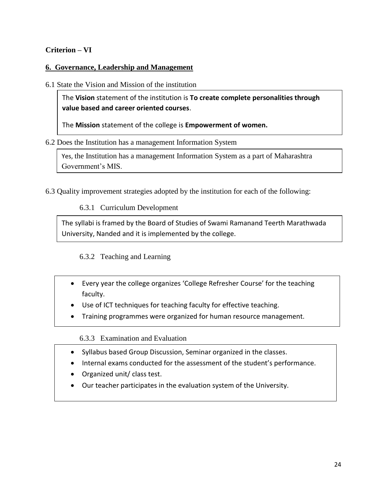# **Criterion – VI**

# **6. Governance, Leadership and Management**

6.1 State the Vision and Mission of the institution

The **Vision** statement of the institution is **To create complete personalities through value based and career oriented courses**.

The **Mission** statement of the college is **Empowerment of women.**

#### 6.2 Does the Institution has a management Information System

Yes, the Institution has a management Information System as a part of Maharashtra Government's MIS.

6.3 Quality improvement strategies adopted by the institution for each of the following:

6.3.1 Curriculum Development

The syllabi is framed by the Board of Studies of Swami Ramanand Teerth Marathwada University, Nanded and it is implemented by the college.

6.3.2 Teaching and Learning

- Every year the college organizes 'College Refresher Course' for the teaching faculty.
- Use of ICT techniques for teaching faculty for effective teaching.
- Training programmes were organized for human resource management.

6.3.3 Examination and Evaluation

- Syllabus based Group Discussion, Seminar organized in the classes.
- Internal exams conducted for the assessment of the student's performance.
- Organized unit/ class test.
- Our teacher participates in the evaluation system of the University.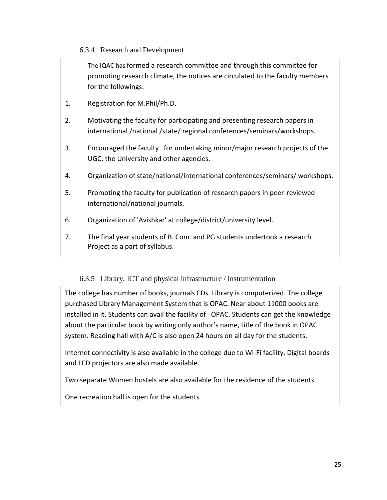# 6.3.4 Research and Development

The IQAC has formed a research committee and through this committee for promoting research climate, the notices are circulated to the faculty members for the followings:

- 1. Registration for M.Phil/Ph.D.
- 2. Motivating the faculty for participating and presenting research papers in international /national /state/ regional conferences/seminars/workshops.
- 3. Encouraged the faculty for undertaking minor/major research projects of the UGC, the University and other agencies.
- 4. Organization of state/national/international conferences/seminars/ workshops.
- 5. Promoting the faculty for publication of research papers in peer-reviewed international/national journals.
- 6. Organization of 'Avishkar' at college/district/university level.
- 7. The final year students of B. Com. and PG students undertook a research Project as a part of syllabus.

# 6.3.5 Library, ICT and physical infrastructure / instrumentation

The college has number of books, journals CDs. Library is computerized. The college purchased Library Management System that is OPAC. Near about 11000 books are installed in it. Students can avail the facility of OPAC. Students can get the knowledge about the particular book by writing only author's name, title of the book in OPAC system. Reading hall with A/C is also open 24 hours on all day for the students.

Internet connectivity is also available in the college due to Wi-Fi facility. Digital boards and LCD projectors are also made available.

Two separate Women hostels are also available for the residence of the students.

One recreation hall is open for the students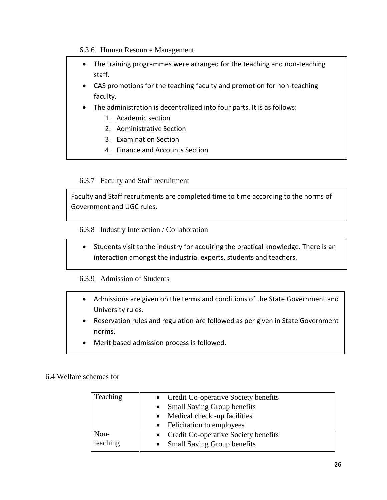6.3.6 Human Resource Management

- The training programmes were arranged for the teaching and non-teaching staff.
- CAS promotions for the teaching faculty and promotion for non-teaching faculty.
- The administration is decentralized into four parts. It is as follows:
	- 1. Academic section
	- 2. Administrative Section
	- 3. Examination Section
	- 4. Finance and Accounts Section

# 6.3.7 Faculty and Staff recruitment

Faculty and Staff recruitments are completed time to time according to the norms of Government and UGC rules.

6.3.8 Industry Interaction / Collaboration

• Students visit to the industry for acquiring the practical knowledge. There is an interaction amongst the industrial experts, students and teachers.

# 6.3.9 Admission of Students

- Admissions are given on the terms and conditions of the State Government and University rules.
- Reservation rules and regulation are followed as per given in State Government norms.
- Merit based admission process is followed.

# 6.4 Welfare schemes for

| Teaching | • Credit Co-operative Society benefits<br>• Small Saving Group benefits |
|----------|-------------------------------------------------------------------------|
|          | • Medical check -up facilities<br>• Felicitation to employees           |
|          |                                                                         |
| Non-     | • Credit Co-operative Society benefits                                  |
| teaching | <b>Small Saving Group benefits</b><br>$\bullet$                         |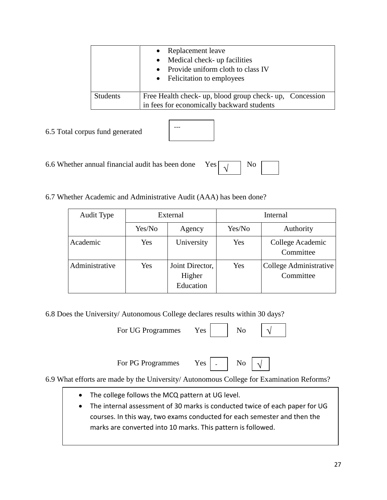|                 | Replacement leave<br>$\bullet$<br>$\bullet$ Medical check- up facilities<br>Provide uniform cloth to class IV<br>$\bullet$<br>• Felicitation to employees |
|-----------------|-----------------------------------------------------------------------------------------------------------------------------------------------------------|
| <b>Students</b> | Free Health check- up, blood group check- up, Concession<br>in fees for economically backward students                                                    |

| 6.5 Total corpus fund generated |
|---------------------------------|
|---------------------------------|



6.6 Whether annual financial audit has been done Yes  $\boxed{1}$  No √

6.7 Whether Academic and Administrative Audit (AAA) has been done?

| Audit Type     | External |                                        | Internal |                                     |
|----------------|----------|----------------------------------------|----------|-------------------------------------|
|                | Yes/No   | Agency                                 | Yes/No   | Authority                           |
| Academic       | Yes      | University                             | Yes      | College Academic<br>Committee       |
| Administrative | Yes      | Joint Director,<br>Higher<br>Education | Yes      | College Administrative<br>Committee |

6.8 Does the University/ Autonomous College declares results within 30 days?

| For UG Programmes | Y es- | N <sub>0</sub> |  |
|-------------------|-------|----------------|--|
|                   |       |                |  |

For PG Programmes Yes

|  | N٥ |
|--|----|
|--|----|

6.9 What efforts are made by the University/ Autonomous College for Examination Reforms?

- The college follows the MCQ pattern at UG level.
- The internal assessment of 30 marks is conducted twice of each paper for UG courses. In this way, two exams conducted for each semester and then the marks are converted into 10 marks. This pattern is followed.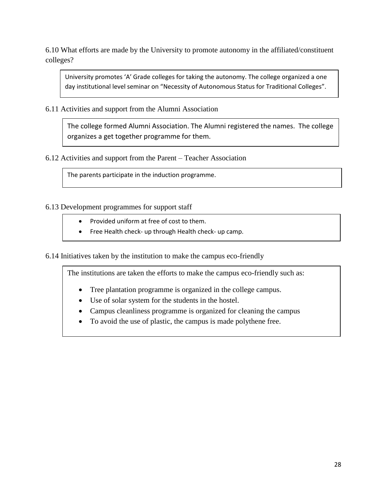6.10 What efforts are made by the University to promote autonomy in the affiliated/constituent colleges?

University promotes 'A' Grade colleges for taking the autonomy. The college organized a one day institutional level seminar on "Necessity of Autonomous Status for Traditional Colleges".

6.11 Activities and support from the Alumni Association

The college formed Alumni Association. The Alumni registered the names. The college organizes a get together programme for them.

6.12 Activities and support from the Parent – Teacher Association

The parents participate in the induction programme.

6.13 Development programmes for support staff

- Provided uniform at free of cost to them.
- Free Health check- up through Health check- up camp.

6.14 Initiatives taken by the institution to make the campus eco-friendly

The institutions are taken the efforts to make the campus eco-friendly such as:

- Tree plantation programme is organized in the college campus.
- Use of solar system for the students in the hostel.
- Campus cleanliness programme is organized for cleaning the campus
- To avoid the use of plastic, the campus is made polythene free.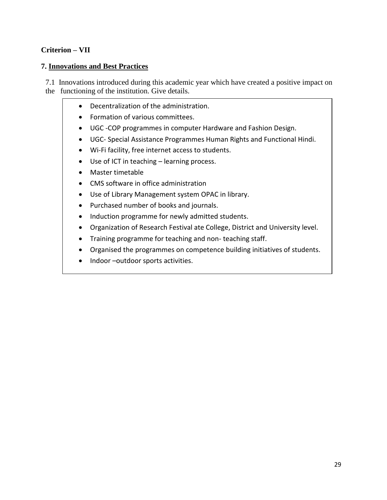# **Criterion – VII**

#### **7. Innovations and Best Practices**

7.1 Innovations introduced during this academic year which have created a positive impact on the functioning of the institution. Give details.

- Decentralization of the administration.
- Formation of various committees.
- UGC -COP programmes in computer Hardware and Fashion Design.
- UGC- Special Assistance Programmes Human Rights and Functional Hindi.
- Wi-Fi facility, free internet access to students.
- Use of ICT in teaching learning process.
- Master timetable
- CMS software in office administration
- Use of Library Management system OPAC in library.
- Purchased number of books and journals.
- Induction programme for newly admitted students.
- Organization of Research Festival ate College, District and University level.
- Training programme for teaching and non-teaching staff.
- Organised the programmes on competence building initiatives of students.
- Indoor –outdoor sports activities.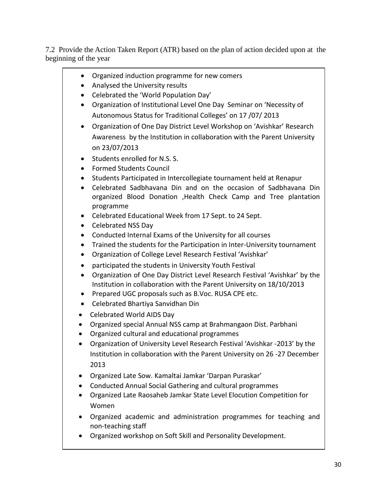7.2 Provide the Action Taken Report (ATR) based on the plan of action decided upon at the beginning of the year

- Organized induction programme for new comers
- Analysed the University results
- Celebrated the 'World Population Day'
- Organization of Institutional Level One Day Seminar on 'Necessity of Autonomous Status for Traditional Colleges' on 17 /07/ 2013
- Organization of One Day District Level Workshop on 'Avishkar' Research Awareness by the Institution in collaboration with the Parent University on 23/07/2013
- Students enrolled for N.S. S.
- Formed Students Council
- Students Participated in Intercollegiate tournament held at Renapur
- Celebrated Sadbhavana Din and on the occasion of Sadbhavana Din organized Blood Donation ,Health Check Camp and Tree plantation programme
- Celebrated Educational Week from 17 Sept. to 24 Sept.
- Celebrated NSS Day
- Conducted Internal Exams of the University for all courses
- Trained the students for the Participation in Inter-University tournament
- Organization of College Level Research Festival 'Avishkar'
- participated the students in University Youth Festival
- Organization of One Day District Level Research Festival 'Avishkar' by the Institution in collaboration with the Parent University on 18/10/2013
- Prepared UGC proposals such as B.Voc. RUSA CPE etc.
- Celebrated Bhartiya Sanvidhan Din
- Celebrated World AIDS Day
- Organized special Annual NSS camp at Brahmangaon Dist. Parbhani
- Organized cultural and educational programmes
- Organization of University Level Research Festival 'Avishkar -2013' by the Institution in collaboration with the Parent University on 26 -27 December 2013
- Organized Late Sow. Kamaltai Jamkar 'Darpan Puraskar'
- Conducted Annual Social Gathering and cultural programmes
- Organized Late Raosaheb Jamkar State Level Elocution Competition for Women
- Organized academic and administration programmes for teaching and non-teaching staff
- Organized workshop on Soft Skill and Personality Development.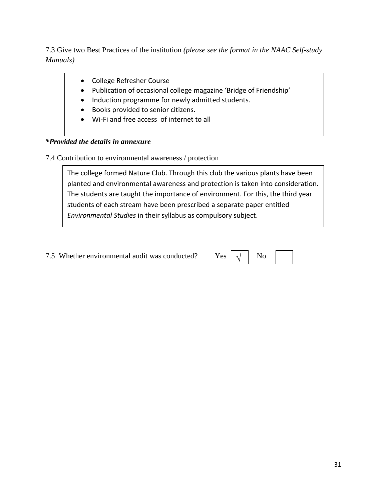7.3 Give two Best Practices of the institution *(please see the format in the NAAC Self-study Manuals)*

- College Refresher Course
- Publication of occasional college magazine 'Bridge of Friendship'
- Induction programme for newly admitted students.
- Books provided to senior citizens.
- Wi-Fi and free access of internet to all

# *\*Provided the details in annexure*

7.4 Contribution to environmental awareness / protection

The college formed Nature Club. Through this club the various plants have been planted and environmental awareness and protection is taken into consideration. The students are taught the importance of environment. For this, the third year students of each stream have been prescribed a separate paper entitled *Environmental Studies* in their syllabus as compulsory subject.

7.5 Whether environmental audit was conducted? Yes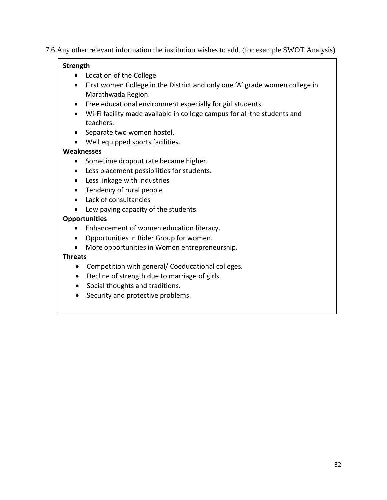7.6 Any other relevant information the institution wishes to add. (for example SWOT Analysis)

# **Strength**

- Location of the College
- First women College in the District and only one 'A' grade women college in Marathwada Region.
- Free educational environment especially for girl students.
- Wi-Fi facility made available in college campus for all the students and teachers.
- Separate two women hostel.
- Well equipped sports facilities.

# **Weaknesses**

- Sometime dropout rate became higher.
- Less placement possibilities for students.
- Less linkage with industries
- Tendency of rural people
- Lack of consultancies
- Low paying capacity of the students.

# **Opportunities**

- Enhancement of women education literacy.
- Opportunities in Rider Group for women.
- More opportunities in Women entrepreneurship.

# **Threats**

- Competition with general/ Coeducational colleges.
- Decline of strength due to marriage of girls.
- Social thoughts and traditions.
- Security and protective problems.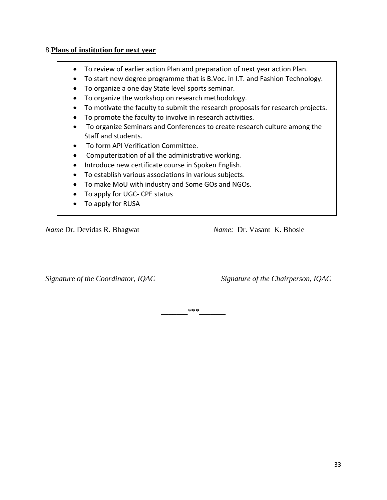# 8.**Plans of institution for next year**

- To review of earlier action Plan and preparation of next year action Plan.
- To start new degree programme that is B.Voc. in I.T. and Fashion Technology.
- To organize a one day State level sports seminar.
- To organize the workshop on research methodology.
- To motivate the faculty to submit the research proposals for research projects.
- To promote the faculty to involve in research activities.
- To organize Seminars and Conferences to create research culture among the Staff and students.
- To form API Verification Committee.
- Computerization of all the administrative working.
- Introduce new certificate course in Spoken English.
- To establish various associations in various subjects.
- To make MoU with industry and Some GOs and NGOs.
- To apply for UGC- CPE status
- To apply for RUSA

*Name Dr. Devidas R. Bhagwat Name: Dr. Vasant K. Bhosle* 

*Signature of the Coordinator, IQAC Signature of the Chairperson, IQAC*

*\_\_\_\_\_\_\_\*\*\*\_\_\_\_\_\_\_*

*\_\_\_\_\_\_\_\_\_\_\_\_\_\_\_\_\_\_\_\_\_\_\_\_\_\_\_\_\_\_\_ \_\_\_\_\_\_\_\_\_\_\_\_\_\_\_\_\_\_\_\_\_\_\_\_\_\_\_\_\_\_\_*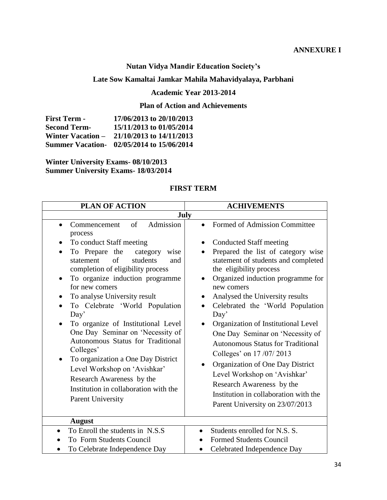#### **ANNEXURE I**

# **Nutan Vidya Mandir Education Society's**

# **Late Sow Kamaltai Jamkar Mahila Mahavidyalaya, Parbhani**

#### **Academic Year 2013-2014**

# **Plan of Action and Achievements**

| <b>First Term -</b>      | 17/06/2013 to 20/10/2013                  |
|--------------------------|-------------------------------------------|
| <b>Second Term-</b>      | 15/11/2013 to 01/05/2014                  |
| <b>Winter Vacation –</b> | 21/10/2013 to 14/11/2013                  |
|                          | Summer Vacation- 02/05/2014 to 15/06/2014 |

**Winter University Exams- 08/10/2013 Summer University Exams- 18/03/2014**

# **FIRST TERM**

| <b>PLAN OF ACTION</b>                                                                                                                                                                                                                                                                                                                                                      | <b>ACHIVEMENTS</b>                                                                                                                                                                                                                                                                                                                                                                                                      |  |  |
|----------------------------------------------------------------------------------------------------------------------------------------------------------------------------------------------------------------------------------------------------------------------------------------------------------------------------------------------------------------------------|-------------------------------------------------------------------------------------------------------------------------------------------------------------------------------------------------------------------------------------------------------------------------------------------------------------------------------------------------------------------------------------------------------------------------|--|--|
|                                                                                                                                                                                                                                                                                                                                                                            | July                                                                                                                                                                                                                                                                                                                                                                                                                    |  |  |
| of<br>Admission<br>Commencement<br>$\bullet$<br>process                                                                                                                                                                                                                                                                                                                    | Formed of Admission Committee<br>$\bullet$                                                                                                                                                                                                                                                                                                                                                                              |  |  |
| To conduct Staff meeting                                                                                                                                                                                                                                                                                                                                                   | <b>Conducted Staff meeting</b>                                                                                                                                                                                                                                                                                                                                                                                          |  |  |
| To Prepare the<br>category<br>wise<br>$\bullet$<br>$\sigma$ f<br>students<br>statement<br>and<br>completion of eligibility process<br>To organize induction programme<br>$\bullet$                                                                                                                                                                                         | Prepared the list of category wise<br>statement of students and completed<br>the eligibility process<br>Organized induction programme for                                                                                                                                                                                                                                                                               |  |  |
| for new comers                                                                                                                                                                                                                                                                                                                                                             | new comers                                                                                                                                                                                                                                                                                                                                                                                                              |  |  |
| To analyse University result<br>To Celebrate 'World Population<br>Day'<br>To organize of Institutional Level<br>One Day Seminar on 'Necessity of<br>Autonomous Status for Traditional<br>Colleges'<br>To organization a One Day District<br>Level Workshop on 'Avishkar'<br>Research Awareness by the<br>Institution in collaboration with the<br><b>Parent University</b> | Analysed the University results<br>Celebrated the 'World Population<br>Day'<br>Organization of Institutional Level<br>$\bullet$<br>One Day Seminar on 'Necessity of<br><b>Autonomous Status for Traditional</b><br>Colleges' on 17/07/2013<br>Organization of One Day District<br>Level Workshop on 'Avishkar'<br>Research Awareness by the<br>Institution in collaboration with the<br>Parent University on 23/07/2013 |  |  |
| <b>August</b>                                                                                                                                                                                                                                                                                                                                                              |                                                                                                                                                                                                                                                                                                                                                                                                                         |  |  |
| To Enroll the students in N.S.S.                                                                                                                                                                                                                                                                                                                                           | Students enrolled for N.S. S.                                                                                                                                                                                                                                                                                                                                                                                           |  |  |
| To Form Students Council                                                                                                                                                                                                                                                                                                                                                   | <b>Formed Students Council</b>                                                                                                                                                                                                                                                                                                                                                                                          |  |  |
| To Celebrate Independence Day                                                                                                                                                                                                                                                                                                                                              | Celebrated Independence Day                                                                                                                                                                                                                                                                                                                                                                                             |  |  |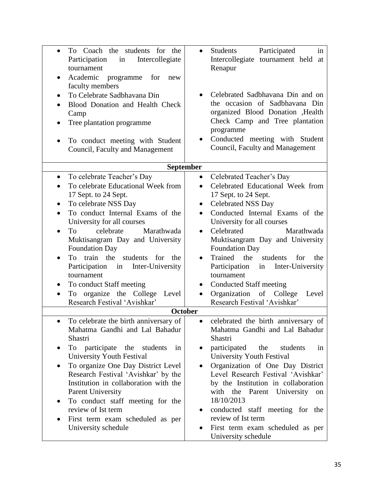| To Coach the students for the<br>$\bullet$<br>Participation<br>Intercollegiate<br>in<br>tournament<br>Academic programme for<br>new<br>$\bullet$<br>faculty members<br>To Celebrate Sadbhavana Din<br>$\bullet$<br>Blood Donation and Health Check<br>Camp<br>Tree plantation programme<br>$\bullet$<br>To conduct meeting with Student<br>Council, Faculty and Management                                                                                                                                                                                                   | Participated<br>Students<br>in<br>Intercollegiate tournament held<br>at<br>Renapur<br>Celebrated Sadbhavana Din and on<br>the occasion of Sadbhavana Din<br>organized Blood Donation , Health<br>Check Camp and Tree plantation<br>programme<br>Conducted meeting with Student<br>Council, Faculty and Management                                                                                                                                                                                                                                  |  |
|------------------------------------------------------------------------------------------------------------------------------------------------------------------------------------------------------------------------------------------------------------------------------------------------------------------------------------------------------------------------------------------------------------------------------------------------------------------------------------------------------------------------------------------------------------------------------|----------------------------------------------------------------------------------------------------------------------------------------------------------------------------------------------------------------------------------------------------------------------------------------------------------------------------------------------------------------------------------------------------------------------------------------------------------------------------------------------------------------------------------------------------|--|
| September                                                                                                                                                                                                                                                                                                                                                                                                                                                                                                                                                                    |                                                                                                                                                                                                                                                                                                                                                                                                                                                                                                                                                    |  |
| To celebrate Teacher's Day<br>$\bullet$<br>To celebrate Educational Week from<br>$\bullet$<br>17 Sept. to 24 Sept.<br>To celebrate NSS Day<br>To conduct Internal Exams of the<br>$\bullet$<br>University for all courses<br>celebrate<br>Marathwada<br>To<br>Muktisangram Day and University<br><b>Foundation Day</b><br>train the<br>students<br>To<br>for<br>the<br>$\bullet$<br>Participation in Inter-University<br>tournament<br>To conduct Staff meeting<br>$\bullet$<br>To organize the College Level<br>$\bullet$<br>Research Festival 'Avishkar'<br><b>October</b> | Celebrated Teacher's Day<br>$\bullet$<br>Celebrated Educational Week from<br>$\bullet$<br>17 Sept. to 24 Sept.<br><b>Celebrated NSS Day</b><br>٠<br>Conducted Internal Exams of the<br>$\bullet$<br>University for all courses<br>Celebrated<br>Marathwada<br>$\bullet$<br>Muktisangram Day and University<br><b>Foundation Day</b><br>Trained<br>the<br>students<br>for<br>the<br>Participation in Inter-University<br>tournament<br><b>Conducted Staff meeting</b><br>$\bullet$<br>Organization of College Level<br>Research Festival 'Avishkar' |  |
|                                                                                                                                                                                                                                                                                                                                                                                                                                                                                                                                                                              |                                                                                                                                                                                                                                                                                                                                                                                                                                                                                                                                                    |  |
| To celebrate the birth anniversary of<br>Mahatma Gandhi and Lal Bahadur<br>Shastri<br>To participate the students<br>1n<br>University Youth Festival<br>To organize One Day District Level<br>Research Festival 'Avishkar' by the<br>Institution in collaboration with the<br><b>Parent University</b><br>To conduct staff meeting for the<br>review of Ist term<br>First term exam scheduled as per<br>$\bullet$<br>University schedule                                                                                                                                     | celebrated the birth anniversary of<br>$\bullet$<br>Mahatma Gandhi and Lal Bahadur<br>Shastri<br>participated<br>the<br>students<br>1n<br>$\bullet$<br>University Youth Festival<br>Organization of One Day District<br>$\bullet$<br>Level Research Festival 'Avishkar'<br>by the Institution in collaboration<br>with the Parent University<br>on<br>18/10/2013<br>conducted staff meeting for the<br>$\bullet$<br>review of Ist term<br>First term exam scheduled as per<br>University schedule                                                  |  |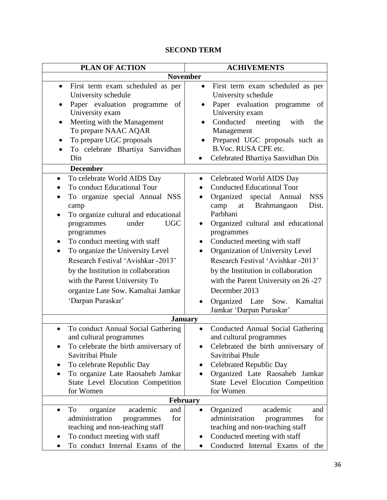# **SECOND TERM**

| <b>PLAN OF ACTION</b>                                                                                                                                                                                                                                                                                                                                                                                                                                                                             | <b>ACHIVEMENTS</b>                                                                                                                                                                                                                                                                                                                                                                                                                                                                                                                                          |  |
|---------------------------------------------------------------------------------------------------------------------------------------------------------------------------------------------------------------------------------------------------------------------------------------------------------------------------------------------------------------------------------------------------------------------------------------------------------------------------------------------------|-------------------------------------------------------------------------------------------------------------------------------------------------------------------------------------------------------------------------------------------------------------------------------------------------------------------------------------------------------------------------------------------------------------------------------------------------------------------------------------------------------------------------------------------------------------|--|
| <b>November</b>                                                                                                                                                                                                                                                                                                                                                                                                                                                                                   |                                                                                                                                                                                                                                                                                                                                                                                                                                                                                                                                                             |  |
| First term exam scheduled as per<br>$\bullet$<br>University schedule<br>Paper evaluation programme<br>of<br>University exam<br>Meeting with the Management<br>$\bullet$<br>To prepare NAAC AQAR<br>To prepare UGC proposals<br>To celebrate Bhartiya Sanvidhan<br>$\bullet$<br>Din                                                                                                                                                                                                                | First term exam scheduled as per<br>$\bullet$<br>University schedule<br>Paper evaluation programme<br>of<br>University exam<br>Conducted meeting<br>with<br>the<br>Management<br>Prepared UGC proposals such as<br>$\bullet$<br>B.Voc. RUSA CPE etc.<br>Celebrated Bhartiya Sanvidhan Din<br>$\bullet$                                                                                                                                                                                                                                                      |  |
| <b>December</b>                                                                                                                                                                                                                                                                                                                                                                                                                                                                                   |                                                                                                                                                                                                                                                                                                                                                                                                                                                                                                                                                             |  |
| To celebrate World AIDS Day<br>$\bullet$<br>To conduct Educational Tour<br>To organize special Annual NSS<br>$\bullet$<br>camp<br>To organize cultural and educational<br>$\bullet$<br><b>UGC</b><br>under<br>programmes<br>programmes<br>To conduct meeting with staff<br>To organize the University Level<br>$\bullet$<br>Research Festival 'Avishkar -2013'<br>by the Institution in collaboration<br>with the Parent University To<br>organize Late Sow. Kamaltai Jamkar<br>'Darpan Puraskar' | Celebrated World AIDS Day<br>$\bullet$<br><b>Conducted Educational Tour</b><br>Organized special Annual<br><b>NSS</b><br>$\bullet$<br>Brahmangaon<br>Dist.<br>camp<br>at<br>Parbhani<br>Organized cultural and educational<br>$\bullet$<br>programmes<br>Conducted meeting with staff<br>$\bullet$<br>Organization of University Level<br>$\bullet$<br>Research Festival 'Avishkar -2013'<br>by the Institution in collaboration<br>with the Parent University on 26 -27<br>December 2013<br>Organized Late<br>Sow.<br>Kamaltai<br>Jamkar 'Darpan Puraskar' |  |
| <b>January</b>                                                                                                                                                                                                                                                                                                                                                                                                                                                                                    |                                                                                                                                                                                                                                                                                                                                                                                                                                                                                                                                                             |  |
| To conduct Annual Social Gathering<br>$\bullet$<br>and cultural programmes<br>To celebrate the birth anniversary of<br>Savitribai Phule<br>To celebrate Republic Day<br>To organize Late Raosaheb Jamkar<br>State Level Elocution Competition<br>for Women                                                                                                                                                                                                                                        | Conducted Annual Social Gathering<br>$\bullet$<br>and cultural programmes<br>Celebrated the birth anniversary of<br>Savitribai Phule<br><b>Celebrated Republic Day</b><br>Organized Late Raosaheb Jamkar<br>$\bullet$<br>State Level Elocution Competition<br>for Women                                                                                                                                                                                                                                                                                     |  |
| February                                                                                                                                                                                                                                                                                                                                                                                                                                                                                          |                                                                                                                                                                                                                                                                                                                                                                                                                                                                                                                                                             |  |
| academic<br>To<br>organize<br>and<br>$\bullet$<br>administration<br>for<br>programmes<br>teaching and non-teaching staff<br>To conduct meeting with staff<br>To conduct Internal Exams of the                                                                                                                                                                                                                                                                                                     | academic<br>Organized<br>and<br>$\bullet$<br>administration<br>for<br>programmes<br>teaching and non-teaching staff<br>Conducted meeting with staff<br>Conducted Internal Exams of the                                                                                                                                                                                                                                                                                                                                                                      |  |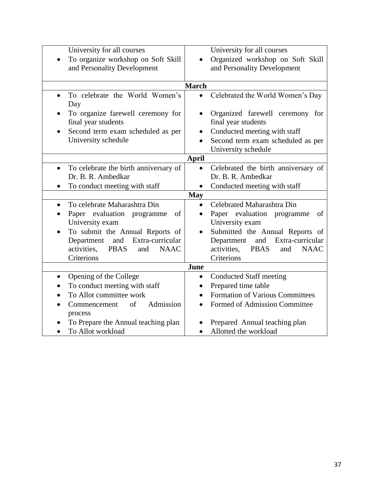| University for all courses<br>To organize workshop on Soft Skill<br>and Personality Development                                                                                                                                   | University for all courses<br>Organized workshop on Soft Skill<br>and Personality Development                                                                                                                                           |  |
|-----------------------------------------------------------------------------------------------------------------------------------------------------------------------------------------------------------------------------------|-----------------------------------------------------------------------------------------------------------------------------------------------------------------------------------------------------------------------------------------|--|
| <b>March</b>                                                                                                                                                                                                                      |                                                                                                                                                                                                                                         |  |
| To celebrate the World Women's<br>$\bullet$<br>Day<br>To organize farewell ceremony for<br>final year students<br>Second term exam scheduled as per<br>$\bullet$<br>University schedule                                           | Celebrated the World Women's Day<br>$\bullet$<br>Organized farewell ceremony for<br>final year students<br>Conducted meeting with staff<br>Second term exam scheduled as per                                                            |  |
|                                                                                                                                                                                                                                   | University schedule                                                                                                                                                                                                                     |  |
|                                                                                                                                                                                                                                   | <b>April</b>                                                                                                                                                                                                                            |  |
| To celebrate the birth anniversary of<br>$\bullet$<br>Dr. B. R. Ambedkar<br>To conduct meeting with staff<br>$\bullet$                                                                                                            | Celebrated the birth anniversary of<br>$\bullet$<br>Dr. B. R. Ambedkar<br>Conducted meeting with staff<br>$\bullet$                                                                                                                     |  |
|                                                                                                                                                                                                                                   | <b>May</b>                                                                                                                                                                                                                              |  |
| To celebrate Maharashtra Din<br>Paper evaluation programme<br>of<br>University exam<br>To submit the Annual Reports of<br>Department<br>and<br>Extra-curricular<br>activities,<br><b>PBAS</b><br><b>NAAC</b><br>and<br>Criterions | Celebrated Maharashtra Din<br>Paper evaluation programme<br>of<br>University exam<br>Submitted the Annual Reports of<br>Department<br>and<br>Extra-curricular<br>activities,<br><b>PBAS</b><br><b>NAAC</b><br>and<br>Criterions<br>June |  |
| Opening of the College                                                                                                                                                                                                            | <b>Conducted Staff meeting</b><br>$\bullet$                                                                                                                                                                                             |  |
| To conduct meeting with staff                                                                                                                                                                                                     | Prepared time table<br>$\bullet$                                                                                                                                                                                                        |  |
| To Allot committee work                                                                                                                                                                                                           | <b>Formation of Various Committees</b>                                                                                                                                                                                                  |  |
| of<br>Admission<br>Commencement<br>process                                                                                                                                                                                        | Formed of Admission Committee                                                                                                                                                                                                           |  |
| To Prepare the Annual teaching plan                                                                                                                                                                                               | Prepared Annual teaching plan                                                                                                                                                                                                           |  |
| To Allot workload                                                                                                                                                                                                                 | Allotted the workload                                                                                                                                                                                                                   |  |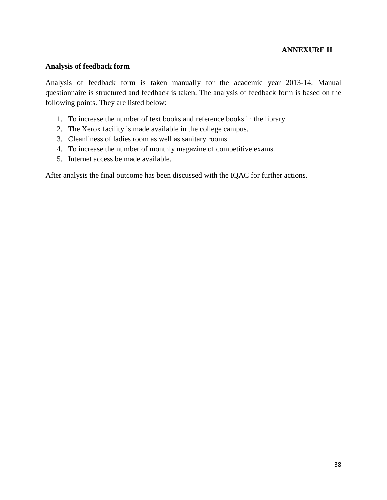#### **ANNEXURE II**

#### **Analysis of feedback form**

Analysis of feedback form is taken manually for the academic year 2013-14. Manual questionnaire is structured and feedback is taken. The analysis of feedback form is based on the following points. They are listed below:

- 1. To increase the number of text books and reference books in the library.
- 2. The Xerox facility is made available in the college campus.
- 3. Cleanliness of ladies room as well as sanitary rooms.
- 4. To increase the number of monthly magazine of competitive exams.
- 5. Internet access be made available.

After analysis the final outcome has been discussed with the IQAC for further actions.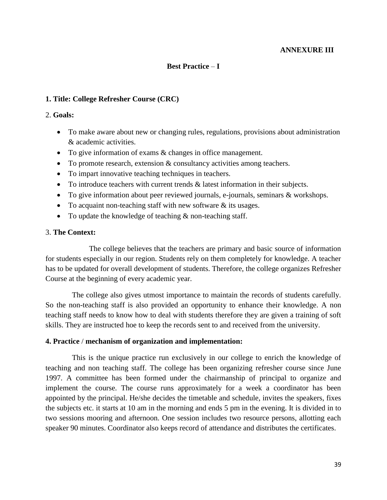#### **ANNEXURE III**

#### **Best Practice** – **I**

#### **1. Title: College Refresher Course (CRC)**

#### 2. **Goals:**

- To make aware about new or changing rules, regulations, provisions about administration & academic activities.
- To give information of exams & changes in office management.
- To promote research, extension & consultancy activities among teachers.
- To impart innovative teaching techniques in teachers.
- To introduce teachers with current trends & latest information in their subjects.
- To give information about peer reviewed journals, e-journals, seminars & workshops.
- $\bullet$  To acquaint non-teaching staff with new software  $\&$  its usages.
- To update the knowledge of teaching  $&$  non-teaching staff.

#### 3. **The Context:**

The college believes that the teachers are primary and basic source of information for students especially in our region. Students rely on them completely for knowledge. A teacher has to be updated for overall development of students. Therefore, the college organizes Refresher Course at the beginning of every academic year.

 The college also gives utmost importance to maintain the records of students carefully. So the non-teaching staff is also provided an opportunity to enhance their knowledge. A non teaching staff needs to know how to deal with students therefore they are given a training of soft skills. They are instructed hoe to keep the records sent to and received from the university.

#### **4. Practice** / **mechanism of organization and implementation:**

 This is the unique practice run exclusively in our college to enrich the knowledge of teaching and non teaching staff. The college has been organizing refresher course since June 1997. A committee has been formed under the chairmanship of principal to organize and implement the course. The course runs approximately for a week a coordinator has been appointed by the principal. He/she decides the timetable and schedule, invites the speakers, fixes the subjects etc. it starts at 10 am in the morning and ends 5 pm in the evening. It is divided in to two sessions mooring and afternoon. One session includes two resource persons, allotting each speaker 90 minutes. Coordinator also keeps record of attendance and distributes the certificates.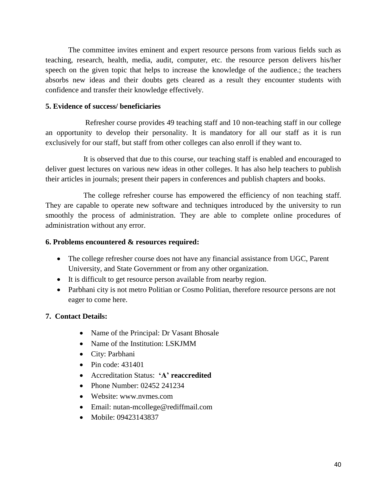The committee invites eminent and expert resource persons from various fields such as teaching, research, health, media, audit, computer, etc. the resource person delivers his/her speech on the given topic that helps to increase the knowledge of the audience.; the teachers absorbs new ideas and their doubts gets cleared as a result they encounter students with confidence and transfer their knowledge effectively.

#### **5. Evidence of success/ beneficiaries**

 Refresher course provides 49 teaching staff and 10 non-teaching staff in our college an opportunity to develop their personality. It is mandatory for all our staff as it is run exclusively for our staff, but staff from other colleges can also enroll if they want to.

 It is observed that due to this course, our teaching staff is enabled and encouraged to deliver guest lectures on various new ideas in other colleges. It has also help teachers to publish their articles in journals; present their papers in conferences and publish chapters and books.

 The college refresher course has empowered the efficiency of non teaching staff. They are capable to operate new software and techniques introduced by the university to run smoothly the process of administration. They are able to complete online procedures of administration without any error.

#### **6. Problems encountered & resources required:**

- The college refresher course does not have any financial assistance from UGC, Parent University, and State Government or from any other organization.
- It is difficult to get resource person available from nearby region.
- Parbhani city is not metro Politian or Cosmo Politian, therefore resource persons are not eager to come here.

# **7. Contact Details:**

- Name of the Principal: Dr Vasant Bhosale
- Name of the Institution: LSKJMM
- City: Parbhani
- $\bullet$  Pin code: 431401
- Accreditation Status: **'A' reaccredited**
- Phone Number: 02452 241234
- Website: www.nvmes.com
- Email: nutan-mcollege@rediffmail.com
- Mobile: 09423143837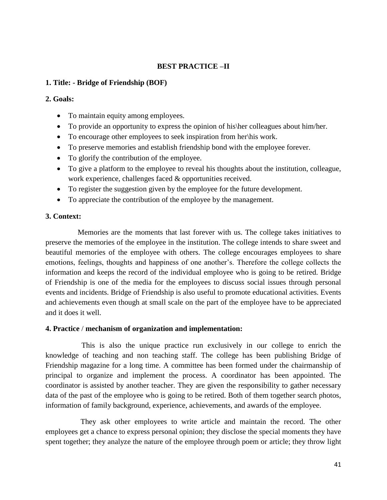# **BEST PRACTICE –II**

#### **1. Title: - Bridge of Friendship (BOF)**

#### **2. Goals:**

- To maintain equity among employees.
- To provide an opportunity to express the opinion of his\her colleagues about him/her.
- To encourage other employees to seek inspiration from her\his work.
- To preserve memories and establish friendship bond with the employee forever.
- To glorify the contribution of the employee.
- To give a platform to the employee to reveal his thoughts about the institution, colleague, work experience, challenges faced & opportunities received.
- To register the suggestion given by the employee for the future development.
- To appreciate the contribution of the employee by the management.

#### **3. Context:**

 Memories are the moments that last forever with us. The college takes initiatives to preserve the memories of the employee in the institution. The college intends to share sweet and beautiful memories of the employee with others. The college encourages employees to share emotions, feelings, thoughts and happiness of one another's. Therefore the college collects the information and keeps the record of the individual employee who is going to be retired. Bridge of Friendship is one of the media for the employees to discuss social issues through personal events and incidents. Bridge of Friendship is also useful to promote educational activities. Events and achievements even though at small scale on the part of the employee have to be appreciated and it does it well.

#### **4. Practice** / **mechanism of organization and implementation:**

 This is also the unique practice run exclusively in our college to enrich the knowledge of teaching and non teaching staff. The college has been publishing Bridge of Friendship magazine for a long time. A committee has been formed under the chairmanship of principal to organize and implement the process. A coordinator has been appointed. The coordinator is assisted by another teacher. They are given the responsibility to gather necessary data of the past of the employee who is going to be retired. Both of them together search photos, information of family background, experience, achievements, and awards of the employee.

They ask other employees to write article and maintain the record. The other employees get a chance to express personal opinion; they disclose the special moments they have spent together; they analyze the nature of the employee through poem or article; they throw light